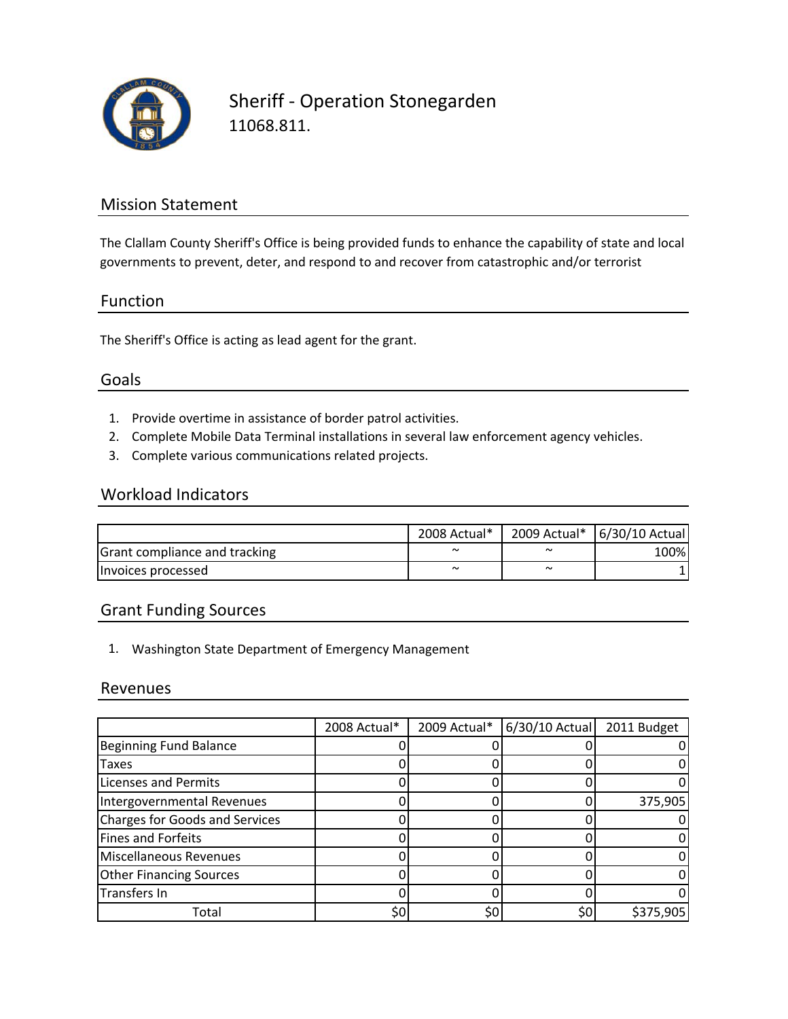

Sheriff ‐ Operation Stonegarden 11068.811.

## Mission Statement

The Clallam County Sheriff's Office is being provided funds to enhance the capability of state and local governments to prevent, deter, and respond to and recover from catastrophic and/or terrorist

#### Function

The Sheriff's Office is acting as lead agent for the grant.

#### Goals

- 1. Provide overtime in assistance of border patrol activities.
- 2. Complete Mobile Data Terminal installations in several law enforcement agency vehicles.
- 3. Complete various communications related projects.

#### Workload Indicators

|                               | 2008 Actual* |            | 2009 Actual* 6/30/10 Actual |
|-------------------------------|--------------|------------|-----------------------------|
| Grant compliance and tracking | $\tilde{ }$  | $\sim$     | 100%                        |
| Invoices processed            | $\sim$       | $\tilde{}$ |                             |

### Grant Funding Sources

1. Washington State Department of Emergency Management

#### Revenues

|                                       | 2008 Actual* | 2009 Actual* | 6/30/10 Actual | 2011 Budget |
|---------------------------------------|--------------|--------------|----------------|-------------|
| <b>Beginning Fund Balance</b>         |              |              |                |             |
| <b>Taxes</b>                          |              |              |                |             |
| <b>Licenses and Permits</b>           |              |              |                |             |
| Intergovernmental Revenues            |              |              |                | 375,905     |
| <b>Charges for Goods and Services</b> |              |              |                |             |
| Fines and Forfeits                    |              |              |                |             |
| <b>Miscellaneous Revenues</b>         |              |              |                |             |
| <b>Other Financing Sources</b>        |              |              |                |             |
| Transfers In                          |              |              |                |             |
| Total                                 | \$0          | \$0          | \$0            | \$375,905   |